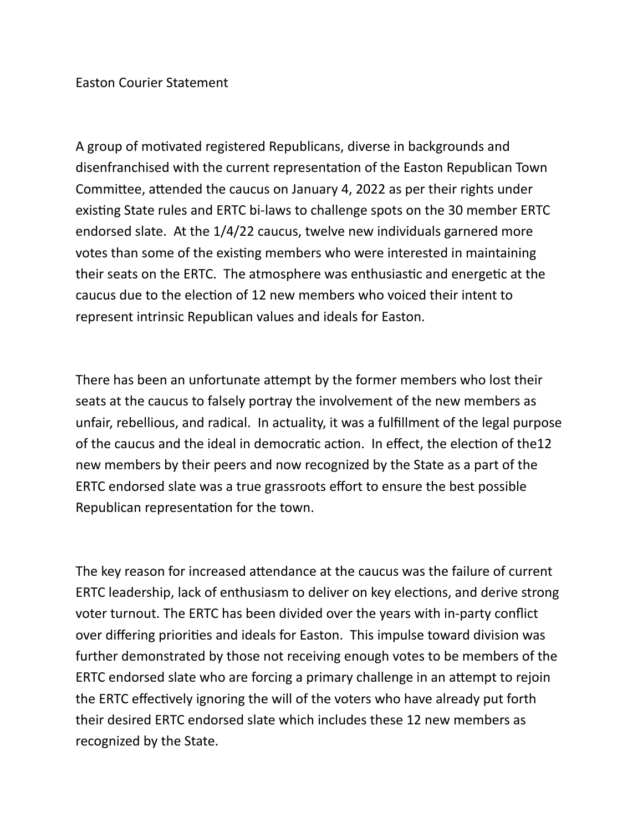## Easton Courier Statement

A group of motivated registered Republicans, diverse in backgrounds and disenfranchised with the current representation of the Easton Republican Town Committee, attended the caucus on January 4, 2022 as per their rights under existing State rules and ERTC bi-laws to challenge spots on the 30 member ERTC endorsed slate. At the 1/4/22 caucus, twelve new individuals garnered more votes than some of the existing members who were interested in maintaining their seats on the ERTC. The atmosphere was enthusiastic and energetic at the caucus due to the election of 12 new members who voiced their intent to represent intrinsic Republican values and ideals for Easton.

There has been an unfortunate attempt by the former members who lost their seats at the caucus to falsely portray the involvement of the new members as unfair, rebellious, and radical. In actuality, it was a fulfillment of the legal purpose of the caucus and the ideal in democratic action. In effect, the election of the12 new members by their peers and now recognized by the State as a part of the ERTC endorsed slate was a true grassroots effort to ensure the best possible Republican representation for the town.

The key reason for increased attendance at the caucus was the failure of current ERTC leadership, lack of enthusiasm to deliver on key elections, and derive strong voter turnout. The ERTC has been divided over the years with in-party conflict over differing priorities and ideals for Easton. This impulse toward division was further demonstrated by those not receiving enough votes to be members of the ERTC endorsed slate who are forcing a primary challenge in an attempt to rejoin the ERTC effectively ignoring the will of the voters who have already put forth their desired ERTC endorsed slate which includes these 12 new members as recognized by the State.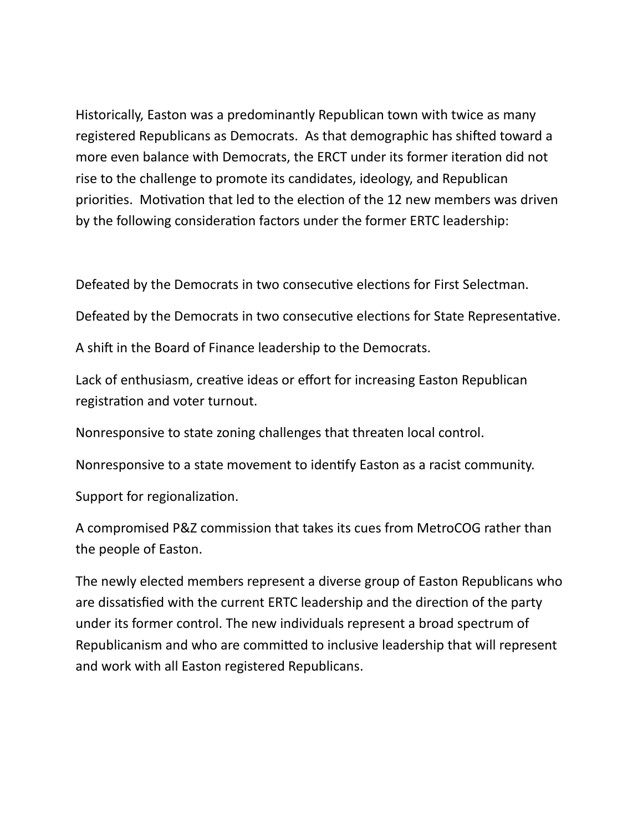Historically, Easton was a predominantly Republican town with twice as many registered Republicans as Democrats. As that demographic has shifted toward a more even balance with Democrats, the ERCT under its former iteration did not rise to the challenge to promote its candidates, ideology, and Republican priorities. Motivation that led to the election of the 12 new members was driven by the following consideration factors under the former ERTC leadership:

Defeated by the Democrats in two consecutive elections for First Selectman.

Defeated by the Democrats in two consecutive elections for State Representative.

A shift in the Board of Finance leadership to the Democrats.

Lack of enthusiasm, creative ideas or effort for increasing Easton Republican registration and voter turnout.

Nonresponsive to state zoning challenges that threaten local control.

Nonresponsive to a state movement to identify Easton as a racist community.

Support for regionalization.

A compromised P&Z commission that takes its cues from MetroCOG rather than the people of Easton.

The newly elected members represent a diverse group of Easton Republicans who are dissatisfied with the current ERTC leadership and the direction of the party under its former control. The new individuals represent a broad spectrum of Republicanism and who are committed to inclusive leadership that will represent and work with all Easton registered Republicans.